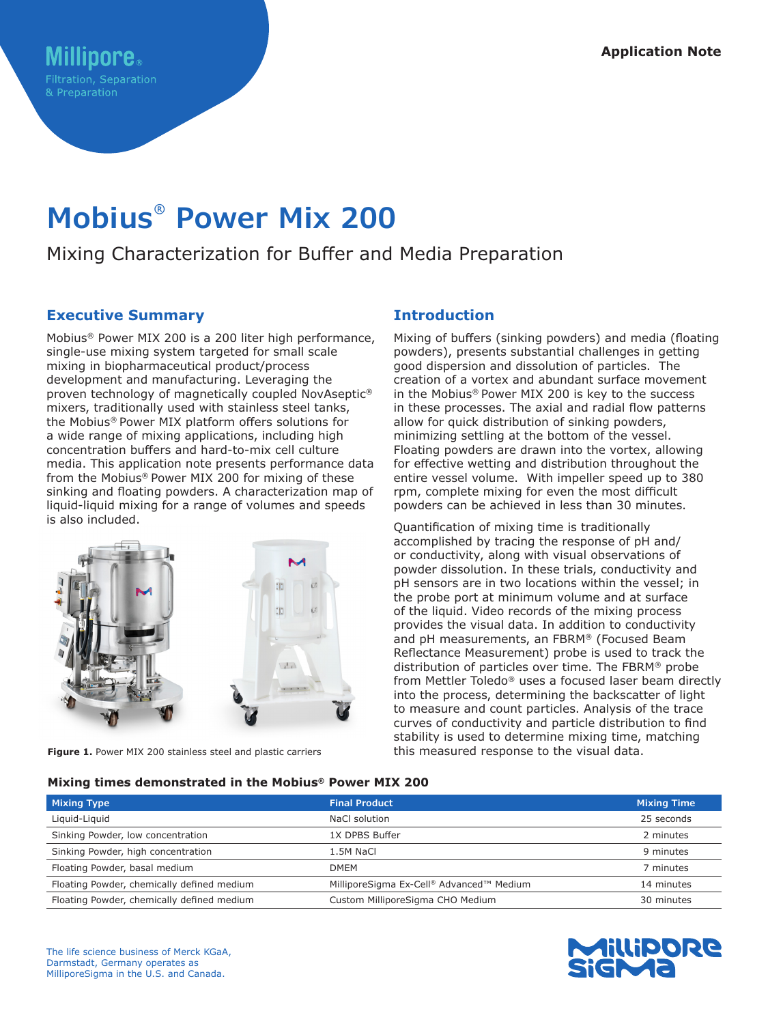# **Mobius® Power Mix 200**

## Mixing Characterization for Buffer and Media Preparation

## **Executive Summary**

Mobius® Power MIX 200 is a 200 liter high performance, single-use mixing system targeted for small scale mixing in biopharmaceutical product/process development and manufacturing. Leveraging the proven technology of magnetically coupled NovAseptic® mixers, traditionally used with stainless steel tanks, the Mobius® Power MIX platform offers solutions for a wide range of mixing applications, including high concentration buffers and hard-to-mix cell culture media. This application note presents performance data from the Mobius® Power MIX 200 for mixing of these sinking and floating powders. A characterization map of liquid-liquid mixing for a range of volumes and speeds is also included.



Figure 1. Power MIX 200 stainless steel and plastic carriers

## **Introduction**

Mixing of buffers (sinking powders) and media (floating powders), presents substantial challenges in getting good dispersion and dissolution of particles. The creation of a vortex and abundant surface movement in the Mobius® Power MIX 200 is key to the success in these processes. The axial and radial flow patterns allow for quick distribution of sinking powders, minimizing settling at the bottom of the vessel. Floating powders are drawn into the vortex, allowing for effective wetting and distribution throughout the entire vessel volume. With impeller speed up to 380 rpm, complete mixing for even the most difficult powders can be achieved in less than 30 minutes.

Quantification of mixing time is traditionally accomplished by tracing the response of pH and/ or conductivity, along with visual observations of powder dissolution. In these trials, conductivity and pH sensors are in two locations within the vessel; in the probe port at minimum volume and at surface of the liquid. Video records of the mixing process provides the visual data. In addition to conductivity and pH measurements, an FBRM® (Focused Beam Reflectance Measurement) probe is used to track the distribution of particles over time. The FBRM® probe from Mettler Toledo® uses a focused laser beam directly into the process, determining the backscatter of light to measure and count particles. Analysis of the trace curves of conductivity and particle distribution to find stability is used to determine mixing time, matching this measured response to the visual data.

#### **Mixing times demonstrated in the Mobius® Power MIX 200**

| <b>Mixing Type</b>                         | <b>Final Product</b>                     | <b>Mixing Time</b> |
|--------------------------------------------|------------------------------------------|--------------------|
| Liquid-Liquid                              | NaCl solution                            | 25 seconds         |
| Sinking Powder, low concentration          | 1X DPBS Buffer                           | 2 minutes          |
| Sinking Powder, high concentration         | 1.5M NaCl                                | 9 minutes          |
| Floating Powder, basal medium              | <b>DMEM</b>                              | 7 minutes          |
| Floating Powder, chemically defined medium | MilliporeSigma Ex-Cell® Advanced™ Medium | 14 minutes         |
| Floating Powder, chemically defined medium | Custom MilliporeSigma CHO Medium         | 30 minutes         |

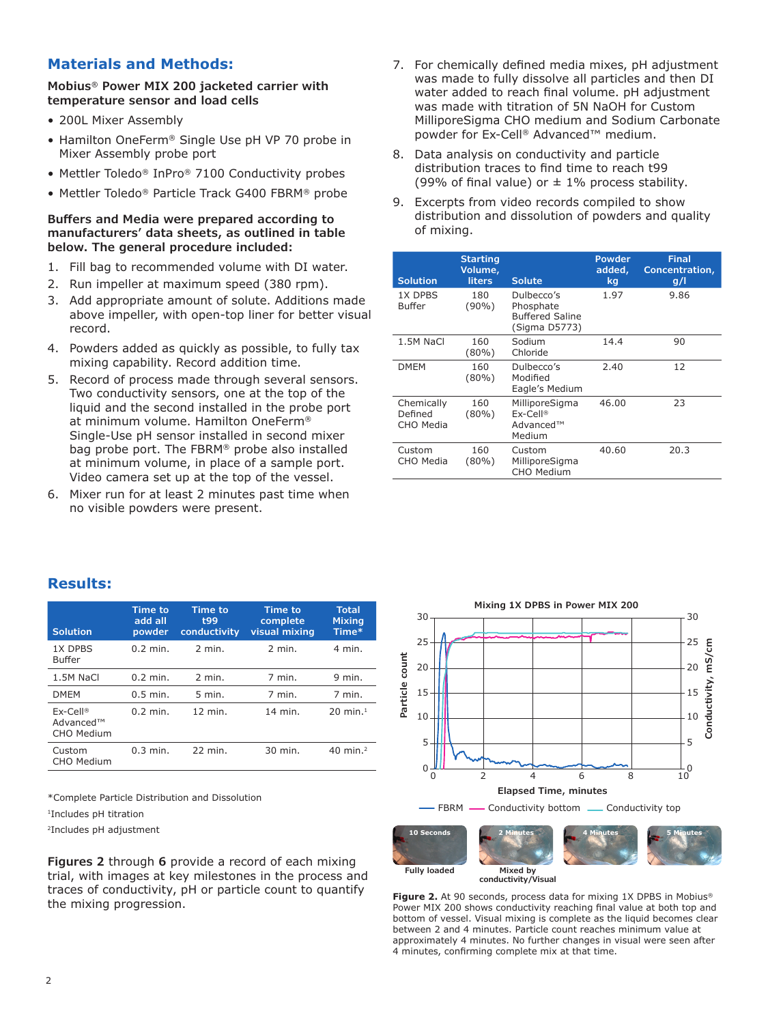## **Materials and Methods:**

**Mobius® Power MIX 200 jacketed carrier with temperature sensor and load cells**

- 200L Mixer Assembly
- Hamilton OneFerm® Single Use pH VP 70 probe in Mixer Assembly probe port
- Mettler Toledo® InPro® 7100 Conductivity probes
- Mettler Toledo® Particle Track G400 FBRM® probe

#### **Buffers and Media were prepared according to manufacturers' data sheets, as outlined in table below. The general procedure included:**

- 1. Fill bag to recommended volume with DI water.
- 2. Run impeller at maximum speed (380 rpm).
- 3. Add appropriate amount of solute. Additions made above impeller, with open-top liner for better visual record.
- 4. Powders added as quickly as possible, to fully tax mixing capability. Record addition time.
- 5. Record of process made through several sensors. Two conductivity sensors, one at the top of the liquid and the second installed in the probe port at minimum volume. Hamilton OneFerm® Single-Use pH sensor installed in second mixer bag probe port. The FBRM® probe also installed at minimum volume, in place of a sample port. Video camera set up at the top of the vessel.
- 6. Mixer run for at least 2 minutes past time when no visible powders were present.
- 7. For chemically defined media mixes, pH adjustment was made to fully dissolve all particles and then DI water added to reach final volume. pH adjustment was made with titration of 5N NaOH for Custom MilliporeSigma CHO medium and Sodium Carbonate powder for Ex-Cell® Advanced™ medium.
- 8. Data analysis on conductivity and particle distribution traces to find time to reach t99 (99% of final value) or  $\pm$  1% process stability.
- 9. Excerpts from video records compiled to show distribution and dissolution of powders and quality of mixing.

| <b>Solution</b>                    | <b>Starting</b><br>Volume,<br><b>liters</b> | <b>Solute</b>                                                      | <b>Powder</b><br>added,<br>kg | <b>Final</b><br>Concentration,<br>g/l |
|------------------------------------|---------------------------------------------|--------------------------------------------------------------------|-------------------------------|---------------------------------------|
| 1X DPBS<br>Buffer                  | 180<br>$(90\%)$                             | Dulbecco's<br>Phosphate<br><b>Buffered Saline</b><br>(Sigma D5773) | 1.97                          | 9.86                                  |
| 1.5M NaCl                          | 160<br>$(80\%)$                             | Sodium<br>Chloride                                                 | 14.4                          | 90                                    |
| <b>DMEM</b>                        | 160<br>$(80\%)$                             | Dulbecco's<br>Modified<br>Eagle's Medium                           | 2.40                          | 12                                    |
| Chemically<br>Defined<br>CHO Media | 160<br>$(80\%)$                             | MilliporeSigma<br>$Ex-Cell@$<br>Advanced™<br>Medium                | 46.00                         | 23                                    |
| Custom<br>CHO Media                | 160<br>$(80\%)$                             | Custom<br>MilliporeSigma<br>CHO Medium                             | 40.60                         | 20.3                                  |

### **Results:**

| <b>Solution</b>                       | <b>Time to</b><br>add all<br>powder | <b>Time to</b><br>t99<br>conductivity | <b>Time to</b><br>complete<br>visual mixing | <b>Total</b><br><b>Mixing</b><br>Time* |
|---------------------------------------|-------------------------------------|---------------------------------------|---------------------------------------------|----------------------------------------|
| 1X DPBS<br><b>Buffer</b>              | $0.2$ min.                          | $2$ min.                              | $2$ min.                                    | 4 min.                                 |
| 1.5M NaCl                             | $0.2$ min.                          | $2$ min.                              | 7 min.                                      | $9$ min.                               |
| <b>DMEM</b>                           | $0.5$ min.                          | $5$ min.                              | 7 min.                                      | 7 min.                                 |
| $Ex-Cell@$<br>Advanced™<br>CHO Medium | $0.2$ min.                          | $12$ min.                             | 14 min.                                     | $20 \text{ min.}^1$                    |
| Custom<br><b>CHO Medium</b>           | $0.3$ min.                          | 22 min.                               | 30 min.                                     | 40 min. $^2$                           |

\*Complete Particle Distribution and Dissolution

1Includes pH titration

2Includes pH adjustment

**Figures 2** through **6** provide a record of each mixing trial, with images at key milestones in the process and traces of conductivity, pH or particle count to quantify the mixing progression.



**conductivity/Visual**

Figure 2. At 90 seconds, process data for mixing 1X DPBS in Mobius<sup>®</sup> Power MIX 200 shows conductivity reaching final value at both top and bottom of vessel. Visual mixing is complete as the liquid becomes clear between 2 and 4 minutes. Particle count reaches minimum value at approximately 4 minutes. No further changes in visual were seen after 4 minutes, confirming complete mix at that time.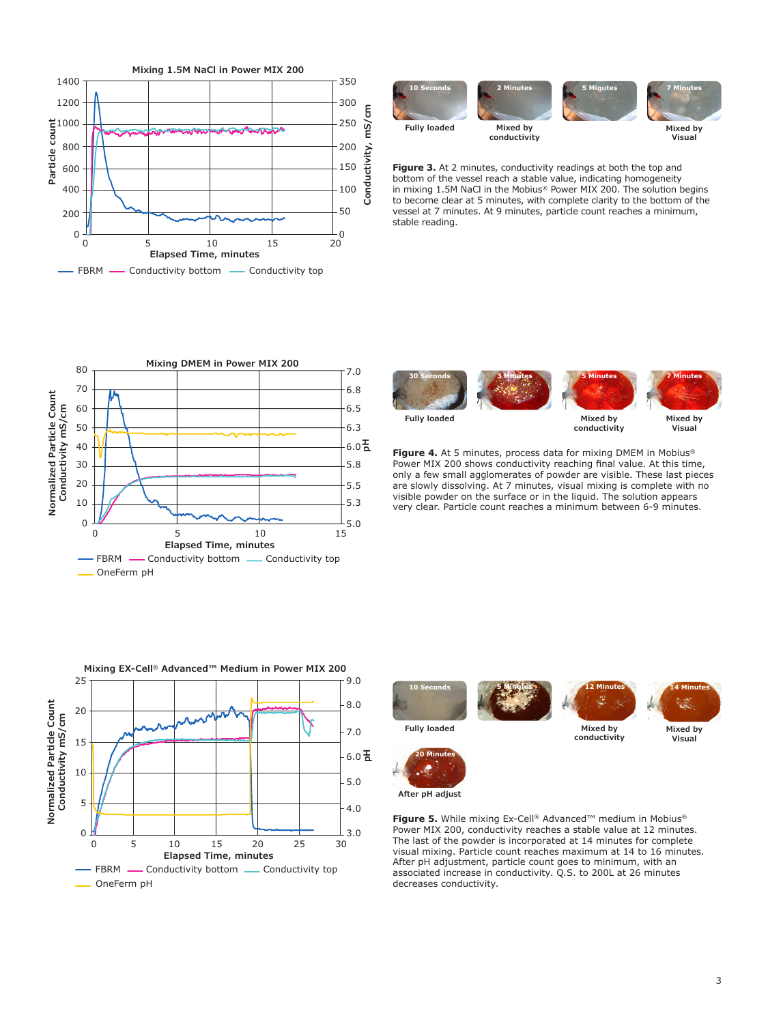



**Figure 3.** At 2 minutes, conductivity readings at both the top and bottom of the vessel reach a stable value, indicating homogeneity in mixing 1.5M NaCl in the Mobius® Power MIX 200. The solution begins to become clear at 5 minutes, with complete clarity to the bottom of the vessel at 7 minutes. At 9 minutes, particle count reaches a minimum, stable reading.



**Mixing EX-Cell® Advanced™ Medium in Power MIX 200** 6.0 품 **Elapsed Time, minutes** FBRM - Conductivity bottom - Conductivity top OneFerm pH 10 15 20 25 30  $\frac{1}{30}$  3.0 4.0 5.0 7.0 8.0 9.0 0 5 **Normalized Particle Count Conductivity mS/c m** 25 20 15 10 5 0



**Fully loaded**

**Mixed by conductivity**

**Mixed by Visual**

**Figure 4.** At 5 minutes, process data for mixing DMEM in Mobius® Power MIX 200 shows conductivity reaching final value. At this time, only a few small agglomerates of powder are visible. These last pieces are slowly dissolving. At 7 minutes, visual mixing is complete with no visible powder on the surface or in the liquid. The solution appears very clear. Particle count reaches a minimum between 6-9 minutes.



**20 Minutes**





**After pH adjust**

Figure 5. While mixing Ex-Cell<sup>®</sup> Advanced™ medium in Mobius® Power MIX 200, conductivity reaches a stable value at 12 minutes. The last of the powder is incorporated at 14 minutes for complete visual mixing. Particle count reaches maximum at 14 to 16 minutes. After pH adjustment, particle count goes to minimum, with an associated increase in conductivity. Q.S. to 200L at 26 minutes decreases conductivity.